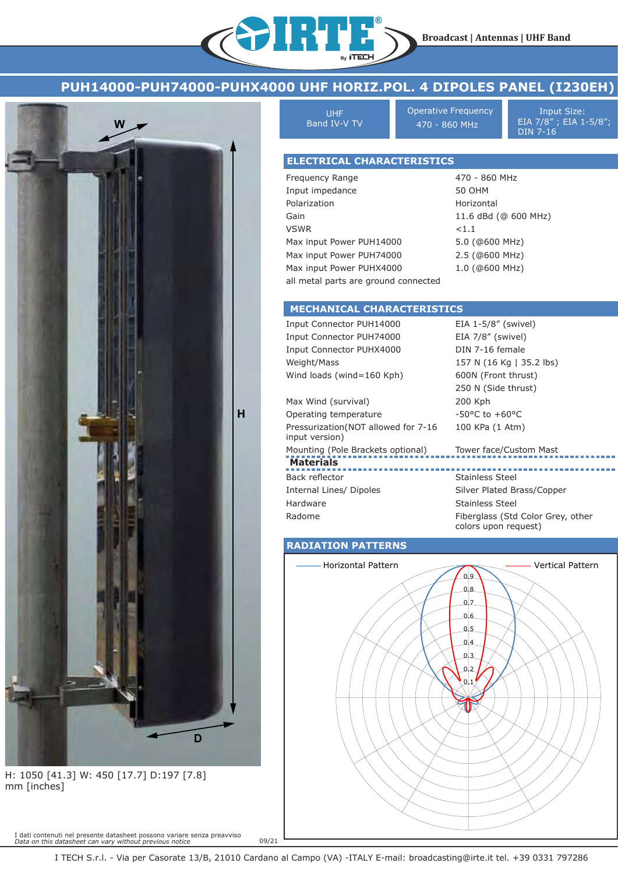

IRTE



H: 1050 [41.3] W: 450 [17.7] D:197 [7.8] mm [inches]

I dati contenuti nel presente datasheet possono variare senza preavviso *Data on this datasheet can vary without previous notice*

UHF Band IV-V TV Operative Frequency **Input Size:** 470 - 860 MHz

EIA 7/8" ; EIA 1-5/8"; DIN 7-16

### **ELECTRICAL CHARACTERISTICS**

Frequency Range Input impedance Polarization Gain VSWR Max input Power PUH14000 Max input Power PUH74000 Max input Power PUHX4000 all metal parts are ground connected 470 - 860 MHz 50 OHM Horizontal 11.6 dBd (@ 600 MHz)  $< 1.1$ 5.0 (@600 MHz) 2.5 (@600 MHz) 1.0 (@600 MHz)

colors upon request)

### **MECHANICAL CHARACTERISTICS**

**Materials** Input Connector PUH14000 Input Connector PUH74000 Input Connector PUHX4000 Weight/Mass Wind loads (wind=160 Kph) Max Wind (survival) Operating temperature Pressurization(NOT allowed for 7-16 input version) Mounting (Pole Brackets optional) Back reflector Internal Lines/ Dipoles Hardware Radome EIA 1-5/8" (swivel) EIA 7/8" (swivel) DIN 7-16 female 157 N (16 Kg | 35.2 lbs) 600N (Front thrust) 250 N (Side thrust) 200 Kph -50°C to +60°C 100 KPa (1 Atm) Tower face/Custom Mast Stainless Steel Silver Plated Brass/Copper Stainless Steel Fiberglass (Std Color Grey, other

#### **RADIATION PATTERNS**



09/21